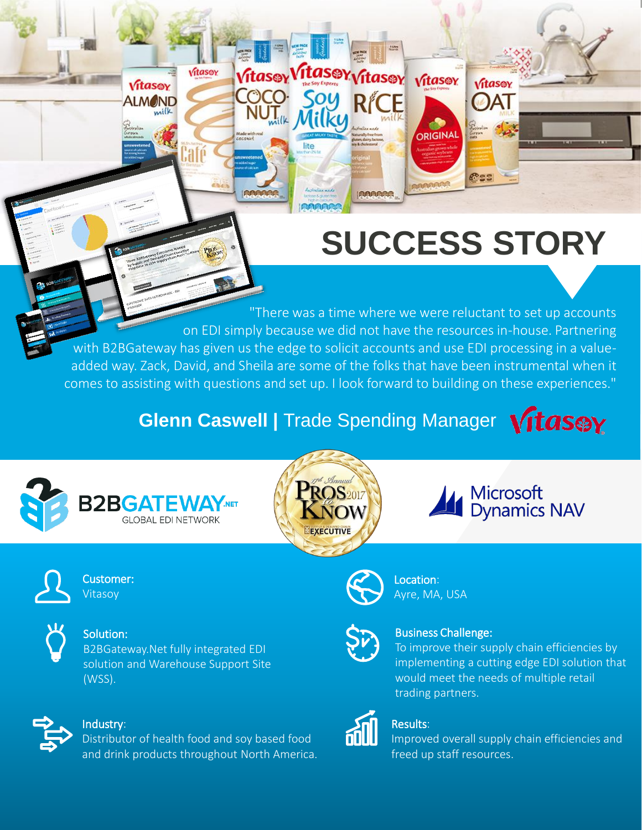# **[SUCCESS STORY](http://www.westridgeoutdoors.com/)**

ORIGINAL

BRARASS

Vitasov

**OAT** 

**Ress** 

. . added way. Zack, David, and Sheila are some of the folks that have been instrumental when it "There was a time where we were reluctant to set up accounts on EDI simply because we did not have the resources in-house. Partnering with B2BGateway has given us the edge to solicit accounts and use EDI processing in a valuecomes to assisting with questions and set up. I look forward to building on these experiences."

### **Glenn Caswell | Trade Spending Manager Vitas@Y**

**Ttasey vitasey** vitasey

**IRRARCA** 







Customer: Vitasoy



Solution:

B2BGateway.Net fully integrated EDI solution and Warehouse Support Site (WSS).



#### Industry:

Distributor of health food and soy based food and drink products throughout North America.

Vitasov

Vitasey

**ALMOND** 

milk

Vitasev

 $\overline{J}_{\text{trik}}$   $\overline{N}$ 

lite

 $C^{\circ}$ 



Location: Ayre, MA, USA



#### Business Challenge:

To improve their supply chain efficiencies by implementing a cutting edge EDI solution that would meet the needs of multiple retail trading partners.

Microsoft<br>Dynamics NAV



#### Results:

Improved overall supply chain efficiencies and freed up staff resources.